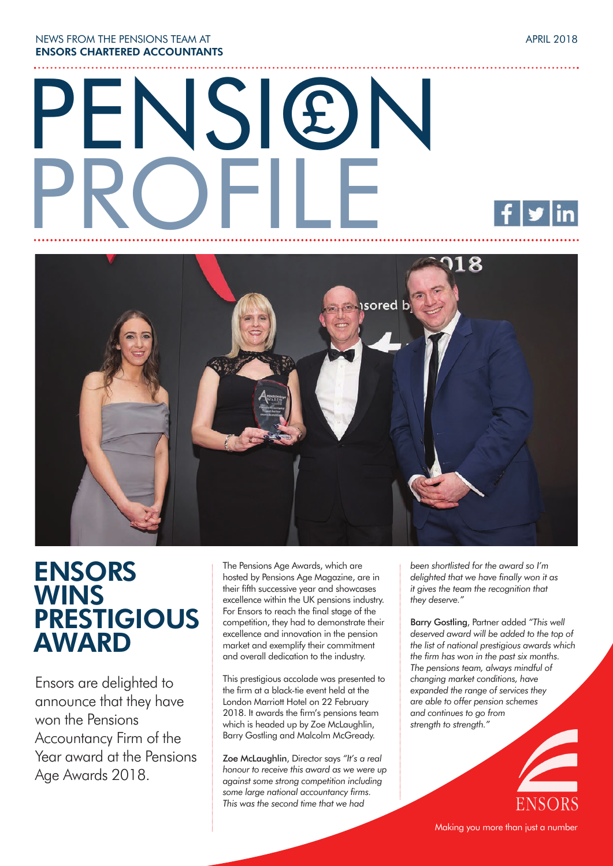NEWS FROM THE PENSIONS TEAM AT **ENSORS CHARTERED ACCOUNTANTS**

# PENSION PROFILE £



## **ENSORS WINS PRESTIGIOUS AWARD**

Ensors are delighted to announce that they have won the Pensions Accountancy Firm of the Year award at the Pensions Age Awards 2018.

The Pensions Age Awards, which are hosted by Pensions Age Magazine, are in their fifth successive year and showcases excellence within the UK pensions industry. For Ensors to reach the final stage of the competition, they had to demonstrate their excellence and innovation in the pension market and exemplify their commitment and overall dedication to the industry.

This prestigious accolade was presented to the firm at a black-tie event held at the London Marriott Hotel on 22 February 2018. It awards the firm's pensions team which is headed up by Zoe McLaughlin, Barry Gostling and Malcolm McGready.

Zoe McLaughlin, Director says *"It's a real honour to receive this award as we were up against some strong competition including some large national accountancy firms. This was the second time that we had* 

*been shortlisted for the award so I'm delighted that we have finally won it as it gives the team the recognition that they deserve."*

Barry Gostling, Partner added *"This well deserved award will be added to the top of the list of national prestigious awards which the firm has won in the past six months. The pensions team, always mindful of changing market conditions, have expanded the range of services they are able to offer pension schemes and continues to go from strength to strength."*



APRIL 2018

Making you more than just a number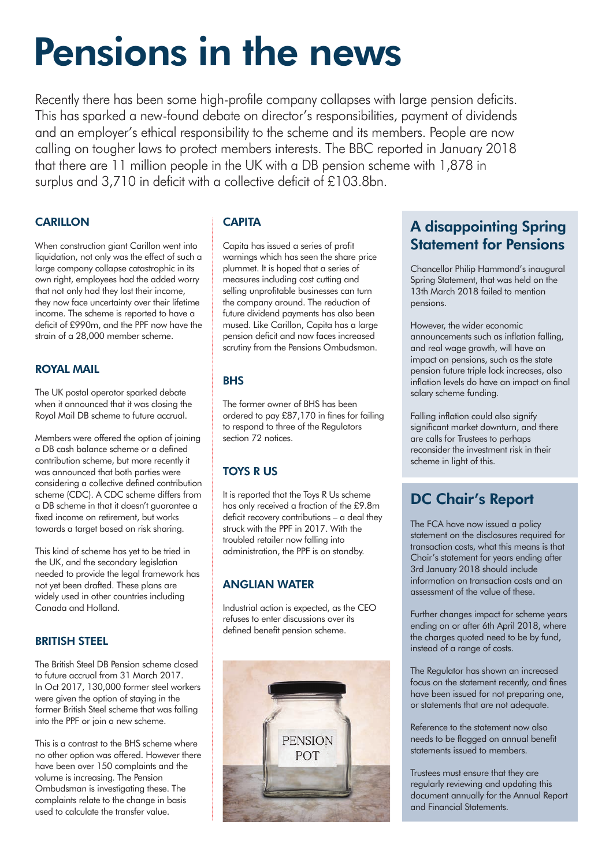## **Pensions in the news**

Recently there has been some high-profile company collapses with large pension deficits. This has sparked a new-found debate on director's responsibilities, payment of dividends and an employer's ethical responsibility to the scheme and its members. People are now calling on tougher laws to protect members interests. The BBC reported in January 2018 that there are 11 million people in the UK with a DB pension scheme with 1,878 in surplus and 3,710 in deficit with a collective deficit of £103.8bn.

#### **CARILLON**

When construction giant Carillon went into liquidation, not only was the effect of such a large company collapse catastrophic in its own right, employees had the added worry that not only had they lost their income, they now face uncertainty over their lifetime income. The scheme is reported to have a deficit of £990m, and the PPF now have the strain of a 28,000 member scheme.

#### **ROYAL MAIL**

The UK postal operator sparked debate when it announced that it was closing the Royal Mail DB scheme to future accrual.

Members were offered the option of joining a DB cash balance scheme or a defined contribution scheme, but more recently it was announced that both parties were considering a collective defined contribution scheme (CDC). A CDC scheme differs from a DB scheme in that it doesn't guarantee a fixed income on retirement, but works towards a target based on risk sharing.

This kind of scheme has yet to be tried in the UK, and the secondary legislation needed to provide the legal framework has not yet been drafted. These plans are widely used in other countries including Canada and Holland.

#### **BRITISH STEEL**

The British Steel DB Pension scheme closed to future accrual from 31 March 2017. In Oct 2017, 130,000 former steel workers were given the option of staying in the former British Steel scheme that was falling into the PPF or join a new scheme.

This is a contrast to the BHS scheme where no other option was offered. However there have been over 150 complaints and the volume is increasing. The Pension Ombudsman is investigating these. The complaints relate to the change in basis used to calculate the transfer value.

#### **CAPITA**

Capita has issued a series of profit warnings which has seen the share price plummet. It is hoped that a series of measures including cost cutting and selling unprofitable businesses can turn the company around. The reduction of future dividend payments has also been mused. Like Carillon, Capita has a large pension deficit and now faces increased scrutiny from the Pensions Ombudsman.

#### **BHS**

The former owner of BHS has been ordered to pay £87,170 in fines for failing to respond to three of the Regulators section 72 notices.

#### **TOYS R US**

It is reported that the Toys R Us scheme has only received a fraction of the £9.8m deficit recovery contributions – a deal they struck with the PPF in 2017. With the troubled retailer now falling into administration, the PPF is on standby.

#### **ANGLIAN WATER**

Industrial action is expected, as the CEO refuses to enter discussions over its defined benefit pension scheme.



#### **A disappointing Spring Statement for Pensions**

Chancellor Philip Hammond's inaugural Spring Statement, that was held on the 13th March 2018 failed to mention pensions.

However, the wider economic announcements such as inflation falling, and real wage growth, will have an impact on pensions, such as the state pension future triple lock increases, also inflation levels do have an impact on final salary scheme funding.

Falling inflation could also signify significant market downturn, and there are calls for Trustees to perhaps reconsider the investment risk in their scheme in light of this.

#### **DC Chair's Report**

The FCA have now issued a policy statement on the disclosures required for transaction costs, what this means is that Chair's statement for years ending after 3rd January 2018 should include information on transaction costs and an assessment of the value of these.

Further changes impact for scheme years ending on or after 6th April 2018, where the charges quoted need to be by fund, instead of a range of costs.

The Regulator has shown an increased focus on the statement recently, and fines have been issued for not preparing one, or statements that are not adequate.

Reference to the statement now also needs to be flagged on annual benefit statements issued to members.

Trustees must ensure that they are regularly reviewing and updating this document annually for the Annual Report and Financial Statements.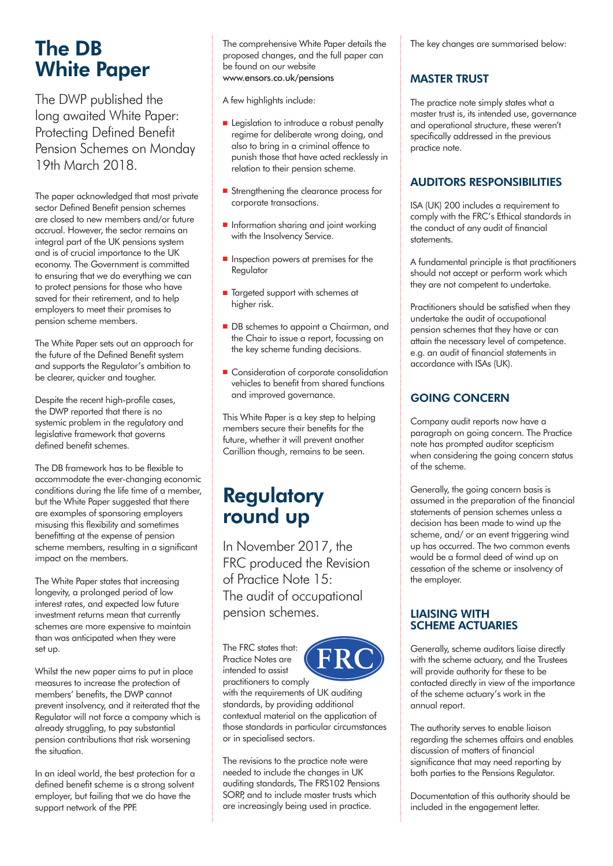## **The DB White Paper**

The DWP published the long awaited White Paper: Protecting Defined Benefit Pension Schemes on Monday 19th March 2018.

The paper acknowledged that most private sector Defined Benefit pension schemes are closed to new members and/or future accrual. However, the sector remains an integral part of the UK pensions system and is of crucial importance to the UK economy. The Government is committed to ensuring that we do everything we can to protect pensions for those who have saved for their retirement, and to help employers to meet their promises to pension scheme members.

The White Paper sets out an approach for the future of the Defined Benefit system and supports the Regulator's ambition to be clearer, quicker and tougher.

Despite the recent high-profile cases, the DWP reported that there is no systemic problem in the regulatory and legislative framework that governs defined benefit schemes.

The DB framework has to be flexible to accommodate the ever-changing economic conditions during the life time of a member, but the White Paper suggested that there are examples of sponsoring employers misusing this flexibility and sometimes benefitting at the expense of pension scheme members, resulting in a significant impact on the members.

The White Paper states that increasing longevity, a prolonged period of low interest rates, and expected low future investment returns mean that currently schemes are more expensive to maintain than was anticipated when they were set up.

Whilst the new paper aims to put in place measures to increase the protection of members' benefits, the DWP cannot prevent insolvency, and it reiterated that the Regulator will not force a company which is already struggling, to pay substantial pension contributions that risk worsening the situation.

In an ideal world, the best protection for a defined benefit scheme is a strong solvent employer, but failing that we do have the support network of the PPF.

The comprehensive White Paper details the proposed changes, and the full paper can be found on our website www.ensors.co.uk/pensions

A few highlights include:

- **n** Legislation to introduce a robust penalty regime for deliberate wrong doing, and also to bring in a criminal offence to punish those that have acted recklessly in relation to their pension scheme.
- **n** Strengthening the clearance process for corporate transactions.
- **n** Information sharing and joint working with the Insolvency Service.
- $\blacksquare$  Inspection powers at premises for the Regulator
- Targeted support with schemes at higher risk.
- DB schemes to appoint a Chairman, and the Chair to issue a report, focussing on the key scheme funding decisions.
- **n** Consideration of corporate consolidation vehicles to benefit from shared functions and improved governance.

This White Paper is a key step to helping members secure their benefits for the future, whether it will prevent another Carillion though, remains to be seen.

## **Regulatory round up**

In November 2017, the FRC produced the Revision of Practice Note 15: The audit of occupational pension schemes.

The FRC states that: Practice Notes are intended to assist



practitioners to comply with the requirements of UK auditing standards, by providing additional contextual material on the application of those standards in particular circumstances or in specialised sectors.

The revisions to the practice note were needed to include the changes in UK auditing standards, The FRS102 Pensions SORP, and to include master trusts which are increasingly being used in practice.

The key changes are summarised below:

#### **MASTER TRUST**

The practice note simply states what a master trust is, its intended use, governance and operational structure, these weren't specifically addressed in the previous practice note.

#### **AUDITORS RESPONSIBILITIES**

ISA (UK) 200 includes a requirement to comply with the FRC's Ethical standards in the conduct of any audit of financial statements.

A fundamental principle is that practitioners should not accept or perform work which they are not competent to undertake.

Practitioners should be satisfied when they undertake the audit of occupational pension schemes that they have or can attain the necessary level of competence. e.g. an audit of financial statements in accordance with ISAs (UK).

#### **GOING CONCERN**

Company audit reports now have a paragraph on going concern. The Practice note has prompted auditor scepticism when considering the going concern status of the scheme.

Generally, the going concern basis is assumed in the preparation of the financial statements of pension schemes unless a decision has been made to wind up the scheme, and/ or an event triggering wind up has occurred. The two common events would be a formal deed of wind up on cessation of the scheme or insolvency of the employer.

#### **LIAISING WITH SCHEME ACTUARIES**

Generally, scheme auditors liaise directly with the scheme actuary, and the Trustees will provide authority for these to be contacted directly in view of the importance of the scheme actuary's work in the annual report.

The authority serves to enable liaison regarding the schemes affairs and enables discussion of matters of financial significance that may need reporting by both parties to the Pensions Regulator.

Documentation of this authority should be included in the engagement letter.